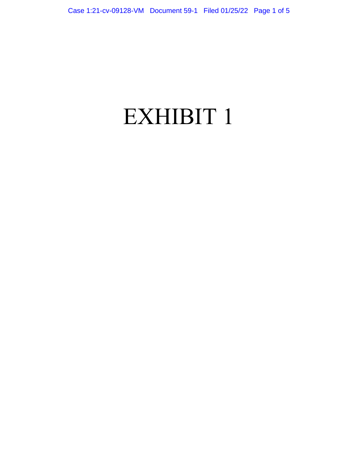# EXHIBIT 1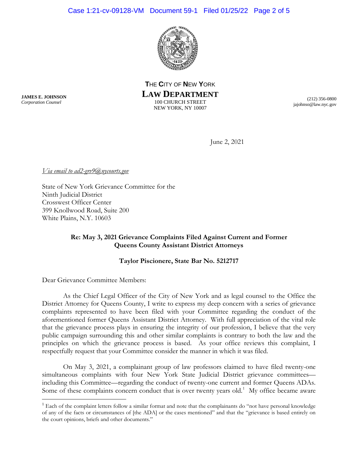

**T**HE **C**ITY OF **N**EW **Y**ORK **LAW DEPARTMENT** 100 CHURCH STREET NEW YORK, NY 10007

(212) 356-0800 jajohnso@law.nyc.gov

June 2, 2021

*Via email to ad2-grv9@nycourts.gov* 

State of New York Grievance Committee for the Ninth Judicial District Crosswest Officer Center 399 Knollwood Road, Suite 200 White Plains, N.Y. 10603

# **Re: May 3, 2021 Grievance Complaints Filed Against Current and Former Queens County Assistant District Attorneys**

## **Taylor Piscionere, State Bar No. 5212717**

Dear Grievance Committee Members:

As the Chief Legal Officer of the City of New York and as legal counsel to the Office the District Attorney for Queens County, I write to express my deep concern with a series of grievance complaints represented to have been filed with your Committee regarding the conduct of the aforementioned former Queens Assistant District Attorney. With full appreciation of the vital role that the grievance process plays in ensuring the integrity of our profession, I believe that the very public campaign surrounding this and other similar complaints is contrary to both the law and the principles on which the grievance process is based. As your office reviews this complaint, I respectfully request that your Committee consider the manner in which it was filed.

On May 3, 2021, a complainant group of law professors claimed to have filed twenty-one simultaneous complaints with four New York State Judicial District grievance committeesincluding this Committee—regarding the conduct of twenty-one current and former Queens ADAs. Some of these complaints concern conduct that is over twenty years old.<sup>[1](#page-1-0)</sup> My office became aware

**JAMES E. JOHNSON** *Corporation Counsel*

<span id="page-1-0"></span> $<sup>1</sup>$  Each of the complaint letters follow a similar format and note that the complainants do "not have personal knowledge</sup> of any of the facts or circumstances of [the ADA] or the cases mentioned" and that the "grievance is based entirely on the court opinions, briefs and other documents."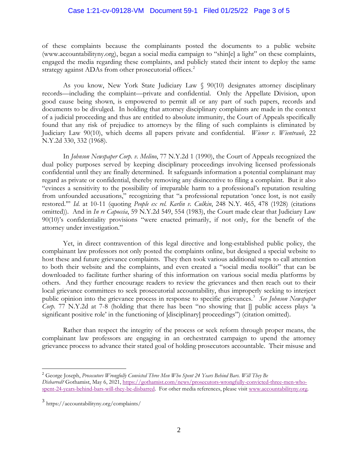### Case 1:21-cv-09128-VM Document 59-1 Filed 01/25/22 Page 3 of 5

of these complaints because the complainants posted the documents to a public website (www.accountabilityny.org), began a social media campaign to "shin[e] a light" on these complaints, engaged the media regarding these complaints, and publicly stated their intent to deploy the same strategy against ADAs from other prosecutorial offices.<sup>[2](#page-2-0)</sup>

As you know, New York State Judiciary Law § 90(10) designates attorney disciplinary records—including the complaint—private and confidential. Only the Appellate Division, upon good cause being shown, is empowered to permit all or any part of such papers, records and documents to be divulged. In holding that attorney disciplinary complaints are made in the context of a judicial proceeding and thus are entitled to absolute immunity, the Court of Appeals specifically found that any risk of prejudice to attorneys by the filing of such complaints is eliminated by Judiciary Law 90(10), which deems all papers private and confidential. *Wiener v. Wientraub*, 22 N.Y.2d 330, 332 (1968).

In *Johnson Newspaper Corp. v. Melino*, 77 N.Y.2d 1 (1990), the Court of Appeals recognized the dual policy purposes served by keeping disciplinary proceedings involving licensed professionals confidential until they are finally determined. It safeguards information a potential complainant may regard as private or confidential, thereby removing any disincentive to filing a complaint. But it also "evinces a sensitivity to the possibility of irreparable harm to a professional's reputation resulting from unfounded accusations," recognizing that "a professional reputation 'once lost, is not easily restored.'" *Id*. at 10-11 (quoting *People ex rel. Karlin v. Culkin*, 248 N.Y. 465, 478 (1928) (citations omitted)). And in *In re Capoccia*, 59 N.Y.2d 549, 554 (1983), the Court made clear that Judiciary Law 90(10)'s confidentiality provisions "were enacted primarily, if not only, for the benefit of the attorney under investigation."

Yet, in direct contravention of this legal directive and long-established public policy, the complainant law professors not only posted the complaints online, but designed a special website to host these and future grievance complaints. They then took various additional steps to call attention to both their website and the complaints, and even created a "social media toolkit" that can be downloaded to facilitate further sharing of this information on various social media platforms by others. And they further encourage readers to review the grievances and then reach out to their local grievance committees to seek prosecutorial accountability, thus improperly seeking to interject public opinion into the grievance process in response to specific grievances. [3](#page-2-1) *See Johnson Newspaper Corp.* 77 N.Y.2d at 7-8 (holding that there has been "no showing that  $\prod$  public access plays 'a significant positive role' in the functioning of [disciplinary] proceedings") (citation omitted).

Rather than respect the integrity of the process or seek reform through proper means, the complainant law professors are engaging in an orchestrated campaign to upend the attorney grievance process to advance their stated goal of holding prosecutors accountable. Their misuse and

<span id="page-2-0"></span> <sup>2</sup> George Joseph, *Prosecutors Wrongfully Convicted Three Men Who Spent 24 Years Behind Bars. Will They Be Disbarred?* Gothamist, May 6, 2021, [https://gothamist.com/news/prosecutors-wrongfully-convicted-three-men-who](https://gothamist.com/news/prosecutors-wrongfully-convicted-three-men-who-spent-24-years-behind-bars-will-they-be-disbarred)[spent-24-years-behind-bars-will-they-be-disbarred.](https://gothamist.com/news/prosecutors-wrongfully-convicted-three-men-who-spent-24-years-behind-bars-will-they-be-disbarred) For other media references, please visit [www.accountabilityny.org.](http://www.accountabilityny.org/)

<span id="page-2-1"></span><sup>3</sup> https://accountabilityny.org/complaints/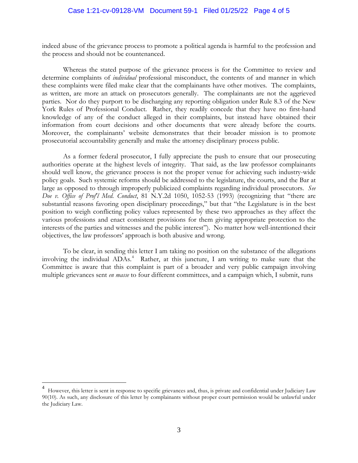indeed abuse of the grievance process to promote a political agenda is harmful to the profession and the process and should not be countenanced.

Whereas the stated purpose of the grievance process is for the Committee to review and determine complaints of *individual* professional misconduct, the contents of and manner in which these complaints were filed make clear that the complainants have other motives. The complaints, as written, are more an attack on prosecutors generally. The complainants are not the aggrieved parties. Nor do they purport to be discharging any reporting obligation under Rule 8.3 of the New York Rules of Professional Conduct. Rather, they readily concede that they have no first-hand knowledge of any of the conduct alleged in their complaints, but instead have obtained their information from court decisions and other documents that were already before the courts. Moreover, the complainants' website demonstrates that their broader mission is to promote prosecutorial accountability generally and make the attorney disciplinary process public.

As a former federal prosecutor, I fully appreciate the push to ensure that our prosecuting authorities operate at the highest levels of integrity. That said, as the law professor complainants should well know, the grievance process is not the proper venue for achieving such industry-wide policy goals. Such systemic reforms should be addressed to the legislature, the courts, and the Bar at large as opposed to through improperly publicized complaints regarding individual prosecutors. *See Doe v. Office of Prof'l Med. Conduct*, 81 N.Y.2d 1050, 1052-53 (1993) (recognizing that "there are substantial reasons favoring open disciplinary proceedings," but that "the Legislature is in the best position to weigh conflicting policy values represented by these two approaches as they affect the various professions and enact consistent provisions for them giving appropriate protection to the interests of the parties and witnesses and the public interest"). No matter how well-intentioned their objectives, the law professors' approach is both abusive and wrong.

To be clear, in sending this letter I am taking no position on the substance of the allegations involving the individual ADAs.<sup>[4](#page-3-0)</sup> Rather, at this juncture, I am writing to make sure that the Committee is aware that this complaint is part of a broader and very public campaign involving multiple grievances sent *en masse* to four different committees, and a campaign which, I submit, runs

<span id="page-3-0"></span> <sup>4</sup> However, this letter is sent in response to specific grievances and, thus, is private and confidential under Judiciary Law 90(10). As such, any disclosure of this letter by complainants without proper court permission would be unlawful under the Judiciary Law.